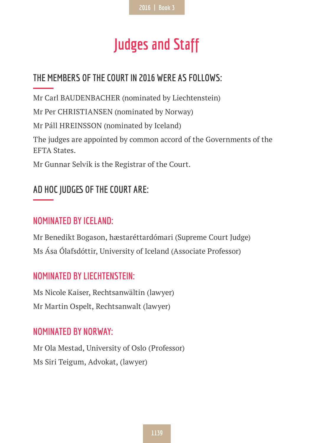# **Judges and Staff**

# **THE MEMBERS OF THE COURT IN 2016 WERE AS FOLLOWS:**

Mr Carl BAUDENBACHER (nominated by Liechtenstein) Mr Per CHRISTIANSEN (nominated by Norway) Mr Páll HREINSSON (nominated by Iceland) The judges are appointed by common accord of the Governments of the EFTA States. Mr Gunnar Selvik is the Registrar of the Court.

## **AD HOC JUDGES OF THE COURT ARE:**

#### **NOMINATED BY ICELAND:**

Mr Benedikt Bogason, hæstaréttardómari (Supreme Court Judge) Ms Ása Ólafsdóttir, University of Iceland (Associate Professor)

## **NOMINATED BY LIECHTENSTEIN:**

Ms Nicole Kaiser, Rechtsanwältin (lawyer) Mr Martin Ospelt, Rechtsanwalt (lawyer)

#### **NOMINATED BY NORWAY:**

Mr Ola Mestad, University of Oslo (Professor) Ms Siri Teigum, Advokat, (lawyer)